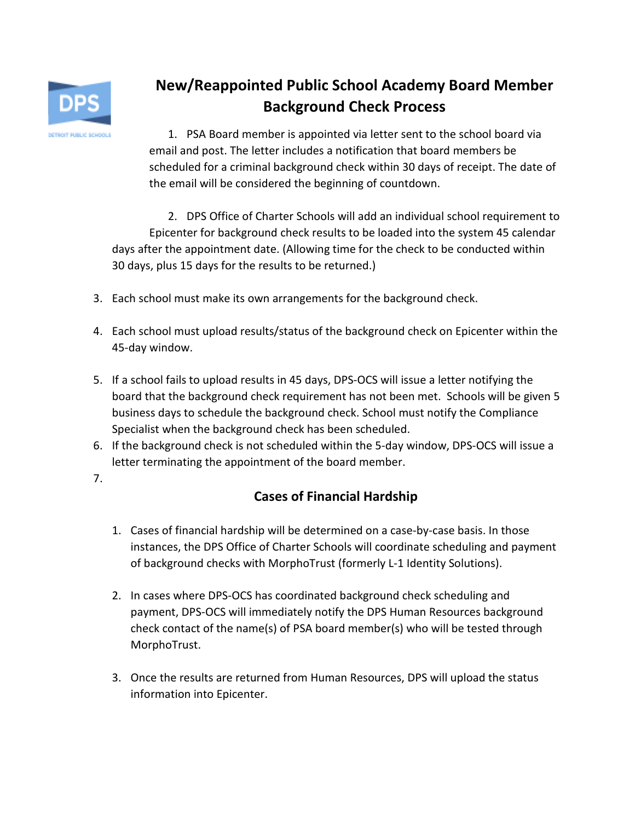

### **New/Reappointed Public School Academy Board Member Background Check Process**

1. PSA Board member is appointed via letter sent to the school board via email and post. The letter includes a notification that board members be scheduled for a criminal background check within 30 days of receipt. The date of the email will be considered the beginning of countdown.

2. DPS Office of Charter Schools will add an individual school requirement to Epicenter for background check results to be loaded into the system 45 calendar days after the appointment date. (Allowing time for the check to be conducted within 30 days, plus 15 days for the results to be returned.)

- 3. Each school must make its own arrangements for the background check.
- 4. Each school must upload results/status of the background check on Epicenter within the 45-day window.
- 5. If a school fails to upload results in 45 days, DPS-OCS will issue a letter notifying the board that the background check requirement has not been met. Schools will be given 5 business days to schedule the background check. School must notify the Compliance Specialist when the background check has been scheduled.
- 6. If the background check is not scheduled within the 5-day window, DPS-OCS will issue a letter terminating the appointment of the board member.
- 7.

### **Cases of Financial Hardship**

- 1. Cases of financial hardship will be determined on a case-by-case basis. In those instances, the DPS Office of Charter Schools will coordinate scheduling and payment of background checks with MorphoTrust (formerly L-1 Identity Solutions).
- 2. In cases where DPS-OCS has coordinated background check scheduling and payment, DPS-OCS will immediately notify the DPS Human Resources background check contact of the name(s) of PSA board member(s) who will be tested through MorphoTrust.
- 3. Once the results are returned from Human Resources, DPS will upload the status information into Epicenter.